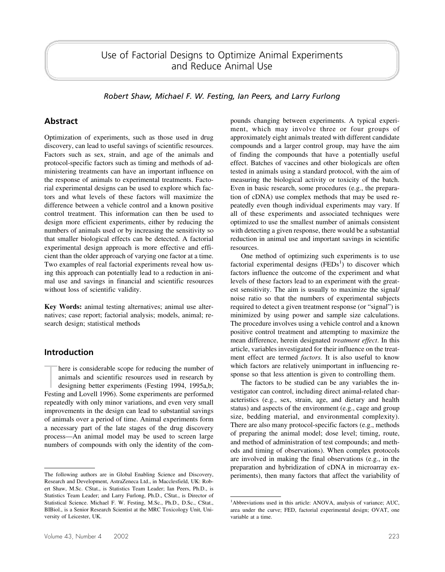*Robert Shaw, Michael F. W. Festing, Ian Peers, and Larry Furlong*

## **Abstract**

Optimization of experiments, such as those used in drug discovery, can lead to useful savings of scientific resources. Factors such as sex, strain, and age of the animals and protocol-specific factors such as timing and methods of administering treatments can have an important influence on the response of animals to experimental treatments. Factorial experimental designs can be used to explore which factors and what levels of these factors will maximize the difference between a vehicle control and a known positive control treatment. This information can then be used to design more efficient experiments, either by reducing the numbers of animals used or by increasing the sensitivity so that smaller biological effects can be detected. A factorial experimental design approach is more effective and efficient than the older approach of varying one factor at a time. Two examples of real factorial experiments reveal how using this approach can potentially lead to a reduction in animal use and savings in financial and scientific resources without loss of scientific validity.

**Key Words:** animal testing alternatives; animal use alternatives; case report; factorial analysis; models, animal; research design; statistical methods

## **Introduction**

There is considerable scope for reducing the number of animals and scientific resources used in research by designing better experiments (Festing 1994, 1995a,b; Festing and Lovell 1996). Some experiments are performed here is considerable scope for reducing the number of animals and scientific resources used in research by designing better experiments (Festing 1994, 1995a,b; repeatedly with only minor variations, and even very small improvements in the design can lead to substantial savings of animals over a period of time. Animal experiments form a necessary part of the late stages of the drug discovery process—An animal model may be used to screen large numbers of compounds with only the identity of the compounds changing between experiments. A typical experiment, which may involve three or four groups of approximately eight animals treated with different candidate compounds and a larger control group, may have the aim of finding the compounds that have a potentially useful effect. Batches of vaccines and other biologicals are often tested in animals using a standard protocol, with the aim of measuring the biological activity or toxicity of the batch. Even in basic research, some procedures (e.g., the preparation of cDNA) use complex methods that may be used repeatedly even though individual experiments may vary. If all of these experiments and associated techniques were optimized to use the smallest number of animals consistent with detecting a given response, there would be a substantial reduction in animal use and important savings in scientific resources.

One method of optimizing such experiments is to use factorial experimental designs  $(FEDs<sup>1</sup>)$  to discover which factors influence the outcome of the experiment and what levels of these factors lead to an experiment with the greatest sensitivity. The aim is usually to maximize the signal/ noise ratio so that the numbers of experimental subjects required to detect a given treatment response (or "signal") is minimized by using power and sample size calculations. The procedure involves using a vehicle control and a known positive control treatment and attempting to maximize the mean difference, herein designated *treatment effect*. In this article, variables investigated for their influence on the treatment effect are termed *factors.* It is also useful to know which factors are relatively unimportant in influencing response so that less attention is given to controlling them.

The factors to be studied can be any variables the investigator can control, including direct animal-related characteristics (e.g., sex, strain, age, and dietary and health status) and aspects of the environment (e.g., cage and group size, bedding material, and environmental complexity). There are also many protocol-specific factors (e.g., methods of preparing the animal model; dose level; timing, route, and method of administration of test compounds; and methods and timing of observations). When complex protocols are involved in making the final observations (e.g., in the preparation and hybridization of cDNA in microarray ex-The following authors are in Global Enabling Science and Discovery, periments), then many factors that affect the variability of

Research and Development, AstraZeneca Ltd., in Macclesfield, UK: Robert Shaw, M.Sc. CStat., is Statistics Team Leader; Ian Peers, Ph.D., is Statistics Team Leader; and Larry Furlong, Ph.D., CStat., is Director of Statistical Science. Michael F. W. Festing, M.Sc., Ph.D., D.Sc., CStat., BIBiol., is a Senior Research Scientist at the MRC Toxicology Unit, University of Leicester, UK.

<sup>&</sup>lt;sup>1</sup>Abbreviations used in this article: ANOVA, analysis of variance; AUC, area under the curve; FED, factorial experimental design; OVAT, one variable at a time.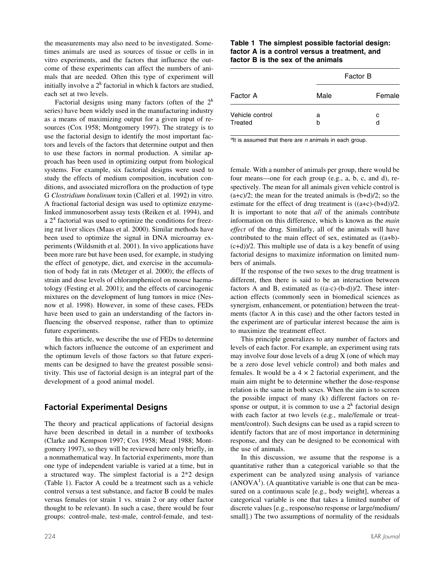the measurements may also need to be investigated. Sometimes animals are used as sources of tissue or cells in in vitro experiments, and the factors that influence the outcome of these experiments can affect the numbers of animals that are needed. Often this type of experiment will initially involve a  $2^k$  factorial in which k factors are studied, each set at two levels.

Factorial designs using many factors (often of the  $2<sup>k</sup>$ series) have been widely used in the manufacturing industry as a means of maximizing output for a given input of resources (Cox 1958; Montgomery 1997). The strategy is to use the factorial design to identify the most important factors and levels of the factors that determine output and then to use these factors in normal production. A similar approach has been used in optimizing output from biological systems. For example, six factorial designs were used to study the effects of medium composition, incubation conditions, and associated microflora on the production of type G *Clostridium botulinum* toxin (Calleri et al. 1992) in vitro. A fractional factorial design was used to optimize enzymelinked immunosorbent assay tests (Reiken et al. 1994), and a  $2<sup>4</sup>$  factorial was used to optimize the conditions for freezing rat liver slices (Maas et al. 2000). Similar methods have been used to optimize the signal in DNA microarray experiments (Wildsmith et al. 2001). In vivo applications have been more rare but have been used, for example, in studying the effect of genotype, diet, and exercise in the accumulation of body fat in rats (Metzger et al. 2000); the effects of strain and dose levels of chloramphenicol on mouse haematology (Festing et al. 2001); and the effects of carcinogenic mixtures on the development of lung tumors in mice (Nesnow et al. 1998). However, in some of these cases, FEDs have been used to gain an understanding of the factors influencing the observed response, rather than to optimize future experiments.

In this article, we describe the use of FEDs to determine which factors influence the outcome of an experiment and the optimum levels of those factors so that future experiments can be designed to have the greatest possible sensitivity. This use of factorial design is an integral part of the development of a good animal model.

### **Factorial Experimental Designs**

The theory and practical applications of factorial designs have been described in detail in a number of textbooks (Clarke and Kempson 1997; Cox 1958; Mead 1988; Montgomery 1997), so they will be reviewed here only briefly, in a nonmathematical way. In factorial experiments, more than one type of independent variable is varied at a time, but in a structured way. The simplest factorial is a 2\*2 design (Table 1). Factor A could be a treatment such as a vehicle control versus a test substance, and factor B could be males versus females (or strain 1 vs. strain 2 or any other factor thought to be relevant). In such a case, there would be four groups: control-male, test-male, control-female, and test-

|                            | Factor B |        |  |
|----------------------------|----------|--------|--|
| Factor A                   | Male     | Female |  |
| Vehicle control<br>Treated | a<br>h   | с<br>d |  |

*a* It is assumed that there are *n* animals in each group.

female. With a number of animals per group, there would be four means—one for each group (e.g., a, b, c, and d), respectively. The mean for all animals given vehicle control is  $(a+c)/2$ ; the mean for the treated animals is  $(b+d)/2$ ; so the estimate for the effect of drug treatment is  $((a+c)-(b+d))/2$ . It is important to note that *all* of the animals contribute information on this difference, which is known as the *main effect* of the drug. Similarly, all of the animals will have contributed to the main effect of sex, estimated as ((a+b)- (c+d))/2. This multiple use of data is a key benefit of using factorial designs to maximize information on limited numbers of animals.

If the response of the two sexes to the drug treatment is different, then there is said to be an interaction between factors A and B, estimated as ((a-c)-(b-d))/2. These interaction effects (commonly seen in biomedical sciences as synergism, enhancement, or potentiation) between the treatments (factor A in this case) and the other factors tested in the experiment are of particular interest because the aim is to maximize the treatment effect.

This principle generalizes to any number of factors and levels of each factor. For example, an experiment using rats may involve four dose levels of a drug X (one of which may be a zero dose level vehicle control) and both males and females. It would be a  $4 \times 2$  factorial experiment, and the main aim might be to determine whether the dose-response relation is the same in both sexes. When the aim is to screen the possible impact of many (k) different factors on response or output, it is common to use a  $2<sup>k</sup>$  factorial design with each factor at two levels (e.g., male/female or treatment/control). Such designs can be used as a rapid screen to identify factors that are of most importance in determining response, and they can be designed to be economical with the use of animals.

In this discussion, we assume that the response is a quantitative rather than a categorical variable so that the experiment can be analyzed using analysis of variance  $(ANOVA<sup>1</sup>)$ . (A quantitative variable is one that can be measured on a continuous scale [e.g., body weight], whereas a categorical variable is one that takes a limited number of discrete values [e.g., response/no response or large/medium/ small].) The two assumptions of normality of the residuals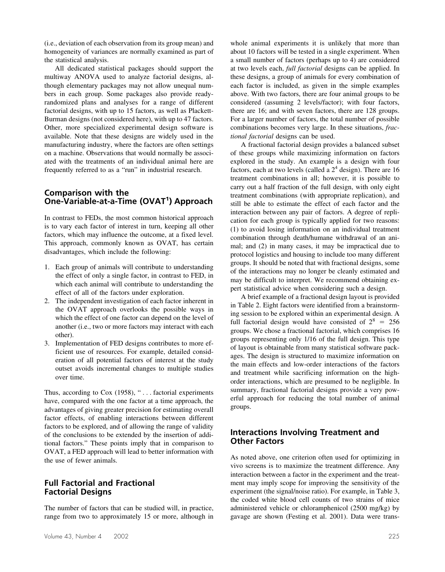(i.e., deviation of each observation from its group mean) and homogeneity of variances are normally examined as part of the statistical analysis.

All dedicated statistical packages should support the multiway ANOVA used to analyze factorial designs, although elementary packages may not allow unequal numbers in each group. Some packages also provide readyrandomized plans and analyses for a range of different factorial designs, with up to 15 factors, as well as Plackett-Burman designs (not considered here), with up to 47 factors. Other, more specialized experimental design software is available. Note that these designs are widely used in the manufacturing industry, where the factors are often settings on a machine. Observations that would normally be associated with the treatments of an individual animal here are frequently referred to as a "run" in industrial research.

#### **Comparison with the One-Variable-at-a-Time (OVAT<sup>1</sup> ) Approach**

In contrast to FEDs, the most common historical approach is to vary each factor of interest in turn, keeping all other factors, which may influence the outcome, at a fixed level. This approach, commonly known as OVAT, has certain disadvantages, which include the following:

- 1. Each group of animals will contribute to understanding the effect of only a single factor, in contrast to FED, in which each animal will contribute to understanding the effect of all of the factors under exploration.
- 2. The independent investigation of each factor inherent in the OVAT approach overlooks the possible ways in which the effect of one factor can depend on the level of another (i.e., two or more factors may interact with each other).
- 3. Implementation of FED designs contributes to more efficient use of resources. For example, detailed consideration of all potential factors of interest at the study outset avoids incremental changes to multiple studies over time.

Thus, according to Cox (1958), "... factorial experiments have, compared with the one factor at a time approach, the advantages of giving greater precision for estimating overall factor effects, of enabling interactions between different factors to be explored, and of allowing the range of validity of the conclusions to be extended by the insertion of additional factors." These points imply that in comparison to OVAT, a FED approach will lead to better information with the use of fewer animals.

#### **Full Factorial and Fractional Factorial Designs**

The number of factors that can be studied will, in practice, range from two to approximately 15 or more, although in

whole animal experiments it is unlikely that more than about 10 factors will be tested in a single experiment. When a small number of factors (perhaps up to 4) are considered at two levels each, *full factorial* designs can be applied. In these designs, a group of animals for every combination of each factor is included, as given in the simple examples above. With two factors, there are four animal groups to be considered (assuming 2 levels/factor); with four factors, there are 16; and with seven factors, there are 128 groups. For a larger number of factors, the total number of possible combinations becomes very large. In these situations, *fractional factorial* designs can be used.

A fractional factorial design provides a balanced subset of these groups while maximizing information on factors explored in the study. An example is a design with four factors, each at two levels (called a  $2<sup>4</sup>$  design). There are 16 treatment combinations in all; however, it is possible to carry out a half fraction of the full design, with only eight treatment combinations (with appropriate replication), and still be able to estimate the effect of each factor and the interaction between any pair of factors. A degree of replication for each group is typically applied for two reasons: (1) to avoid losing information on an individual treatment combination through death/humane withdrawal of an animal; and (2) in many cases, it may be impractical due to protocol logistics and housing to include too many different groups. It should be noted that with fractional designs, some of the interactions may no longer be cleanly estimated and may be difficult to interpret. We recommend obtaining expert statistical advice when considering such a design.

A brief example of a fractional design layout is provided in Table 2. Eight factors were identified from a brainstorming session to be explored within an experimental design. A full factorial design would have consisted of  $2^8 = 256$ groups. We chose a fractional factorial, which comprises 16 groups representing only 1/16 of the full design. This type of layout is obtainable from many statistical software packages. The design is structured to maximize information on the main effects and low-order interactions of the factors and treatment while sacrificing information on the highorder interactions, which are presumed to be negligible. In summary, fractional factorial designs provide a very powerful approach for reducing the total number of animal groups.

### **Interactions Involving Treatment and Other Factors**

As noted above, one criterion often used for optimizing in vivo screens is to maximize the treatment difference. Any interaction between a factor in the experiment and the treatment may imply scope for improving the sensitivity of the experiment (the signal/noise ratio). For example, in Table 3, the coded white blood cell counts of two strains of mice administered vehicle or chloramphenicol (2500 mg/kg) by gavage are shown (Festing et al. 2001). Data were trans-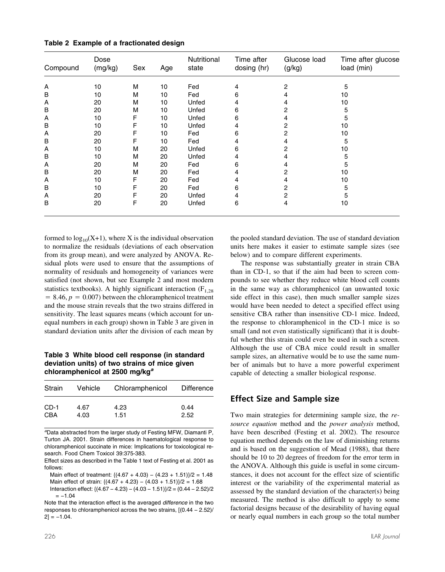| Compound | Dose<br>(mg/kg) | Sex | Age | Nutritional<br>state | Time after<br>dosing (hr) | Glucose load<br>(g/kg) | Time after glucose<br>load (min) |
|----------|-----------------|-----|-----|----------------------|---------------------------|------------------------|----------------------------------|
| Α        | 10              | М   | 10  | Fed                  | 4                         | 2                      | 5                                |
| В        | 10              | М   | 10  | Fed                  | 6                         | 4                      | 10                               |
| Α        | 20              | М   | 10  | Unfed                | 4                         | 4                      | 10                               |
| B        | 20              | М   | 10  | Unfed                | 6                         | 2                      | 5                                |
| Α        | 10              | F   | 10  | Unfed                | 6                         | 4                      | 5                                |
| в        | 10              | F   | 10  | Unfed                | 4                         | 2                      | 10                               |
| Α        | 20              | F   | 10  | Fed                  | 6                         | 2                      | 10                               |
| В        | 20              | F   | 10  | Fed                  | 4                         | 4                      | 5                                |
| Α        | 10              | М   | 20  | Unfed                | 6                         | 2                      | 10                               |
| В        | 10              | М   | 20  | Unfed                | 4                         | 4                      | 5                                |
| Α        | 20              | М   | 20  | Fed                  | 6                         | 4                      | 5                                |
| В        | 20              | М   | 20  | Fed                  | 4                         | 2                      | 10                               |
| Α        | 10              | F   | 20  | Fed                  | 4                         | 4                      | 10                               |
| B        | 10              | F   | 20  | Fed                  | 6                         | 2                      | 5                                |
| A        | 20              | F   | 20  | Unfed                | 4                         | 2                      | 5                                |
| B        | 20              | F   | 20  | Unfed                | 6                         | 4                      | 10                               |

**Table 2 Example of a fractionated design**

formed to  $log_{10}(X+1)$ , where X is the individual observation to normalize the residuals (deviations of each observation from its group mean), and were analyzed by ANOVA. Residual plots were used to ensure that the assumptions of normality of residuals and homogeneity of variances were satisfied (not shown, but see Example 2 and most modern statistics textbooks). A highly significant interaction  $(F_{1,28})$  $= 8.46, p = 0.007$  between the chloramphenicol treatment and the mouse strain reveals that the two strains differed in sensitivity. The least squares means (which account for unequal numbers in each group) shown in Table 3 are given in standard deviation units after the division of each mean by

#### **Table 3 White blood cell response (in standard deviation units) of two strains of mice given chloramphenicol at 2500 mg/kg***<sup>a</sup>*

| Strain | Vehicle | Chloramphenicol | <b>Difference</b> |
|--------|---------|-----------------|-------------------|
| $CD-1$ | 4.67    | 4.23            | 0.44              |
| CBA    | 4.03    | 1.51            | 2.52              |

*a* Data abstracted from the larger study of Festing MFW, Diamanti P, Turton JA. 2001. Strain differences in haematological response to chloramphenicol succinate in mice: Implications for toxicological research. Food Chem Toxicol 39:375-383.

Effect sizes as described in the Table 1 text of Festing et al. 2001 as follows:

Main effect of treatment: {(4.67 + 4.03) − (4.23 + 1.51)}/2 = 1.48 Main effect of strain:  ${(4.67 + 4.23) - (4.03 + 1.51)}/2 = 1.68$ Interaction effect: {(4.67 − 4.23) − (4.03 − 1.51)}/2 = (0.44 − 2.52)/2  $=-1.04$ 

Note that the interaction effect is the averaged *difference* in the two responses to chloramphenicol across the two strains, [(0.44 − 2.52)/  $2] = -1.04$ .

the pooled standard deviation. The use of standard deviation units here makes it easier to estimate sample sizes (see below) and to compare different experiments.

The response was substantially greater in strain CBA than in CD-1, so that if the aim had been to screen compounds to see whether they reduce white blood cell counts in the same way as chloramphenicol (an unwanted toxic side effect in this case), then much smaller sample sizes would have been needed to detect a specified effect using sensitive CBA rather than insensitive CD-1 mice. Indeed, the response to chloramphenicol in the CD-1 mice is so small (and not even statistically significant) that it is doubtful whether this strain could even be used in such a screen. Although the use of CBA mice could result in smaller sample sizes, an alternative would be to use the same number of animals but to have a more powerful experiment capable of detecting a smaller biological response.

### **Effect Size and Sample size**

Two main strategies for determining sample size, the *resource equation* method and the *power analysis* method, have been described (Festing et al. 2002). The resource equation method depends on the law of diminishing returns and is based on the suggestion of Mead (1988), that there should be 10 to 20 degrees of freedom for the error term in the ANOVA. Although this guide is useful in some circumstances, it does not account for the effect size of scientific interest or the variability of the experimental material as assessed by the standard deviation of the character(s) being measured. The method is also difficult to apply to some factorial designs because of the desirability of having equal or nearly equal numbers in each group so the total number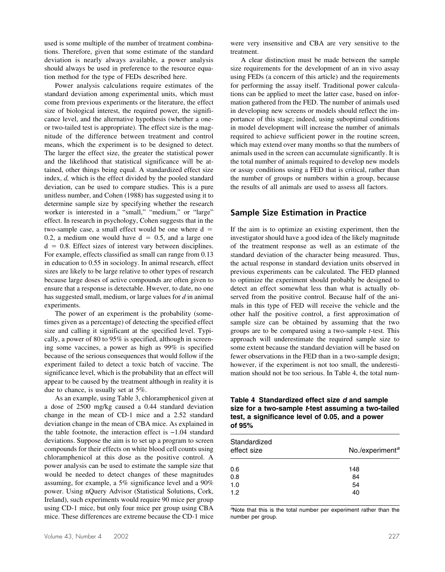used is some multiple of the number of treatment combinations. Therefore, given that some estimate of the standard deviation is nearly always available, a power analysis should always be used in preference to the resource equation method for the type of FEDs described here.

Power analysis calculations require estimates of the standard deviation among experimental units, which must come from previous experiments or the literature, the effect size of biological interest, the required power, the significance level, and the alternative hypothesis (whether a oneor two-tailed test is appropriate). The effect size is the magnitude of the difference between treatment and control means, which the experiment is to be designed to detect. The larger the effect size, the greater the statistical power and the likelihood that statistical significance will be attained, other things being equal. A standardized effect size index, *d,* which is the effect divided by the pooled standard deviation, can be used to compare studies. This is a pure unitless number, and Cohen (1988) has suggested using it to determine sample size by specifying whether the research worker is interested in a "small," "medium," or "large" effect. In research in psychology, Cohen suggests that in the two-sample case, a small effect would be one where  $d =$ 0.2, a medium one would have  $d = 0.5$ , and a large one  $d = 0.8$ . Effect sizes of interest vary between disciplines. For example, effects classified as small can range from 0.13 in education to 0.55 in sociology. In animal research, effect sizes are likely to be large relative to other types of research because large doses of active compounds are often given to ensure that a response is detectable. Hwever, to date, no one has suggested small, medium, or large values for *d* in animal experiments.

The power of an experiment is the probability (sometimes given as a percentage) of detecting the specified effect size and calling it significant at the specified level. Typically, a power of 80 to 95% is specified, although in screening some vaccines, a power as high as 99% is specified because of the serious consequences that would follow if the experiment failed to detect a toxic batch of vaccine. The significance level, which is the probability that an effect will appear to be caused by the treatment although in reality it is due to chance, is usually set at 5%.

As an example, using Table 3, chloramphenicol given at a dose of 2500 mg/kg caused a 0.44 standard deviation change in the mean of CD-1 mice and a 2.52 standard deviation change in the mean of CBA mice. As explained in the table footnote, the interaction effect is −1.04 standard deviations. Suppose the aim is to set up a program to screen compounds for their effects on white blood cell counts using chloramphenicol at this dose as the positive control. A power analysis can be used to estimate the sample size that would be needed to detect changes of these magnitudes assuming, for example, a 5% significance level and a 90% power. Using nQuery Advisor (Statistical Solutions, Cork, Ireland), such experiments would require 90 mice per group using CD-1 mice, but only four mice per group using CBA mice. These differences are extreme because the CD-1 mice were very insensitive and CBA are very sensitive to the treatment.

A clear distinction must be made between the sample size requirements for the development of an in vivo assay using FEDs (a concern of this article) and the requirements for performing the assay itself. Traditional power calculations can be applied to meet the latter case, based on information gathered from the FED. The number of animals used in developing new screens or models should reflect the importance of this stage; indeed, using suboptimal conditions in model development will increase the number of animals required to achieve sufficient power in the routine screen, which may extend over many months so that the numbers of animals used in the screen can accumulate significantly. It is the total number of animals required to develop new models or assay conditions using a FED that is critical, rather than the number of groups or numbers within a group, because the results of all animals are used to assess all factors.

#### **Sample Size Estimation in Practice**

If the aim is to optimize an existing experiment, then the investigator should have a good idea of the likely magnitude of the treatment response as well as an estimate of the standard deviation of the character being measured. Thus, the actual response in standard deviation units observed in previous experiments can be calculated. The FED planned to optimize the experiment should probably be designed to detect an effect somewhat less than what is actually observed from the positive control. Because half of the animals in this type of FED will receive the vehicle and the other half the positive control, a first approximation of sample size can be obtained by assuming that the two groups are to be compared using a two-sample *t*-test. This approach will underestimate the required sample size to some extent because the standard deviation will be based on fewer observations in the FED than in a two-sample design; however, if the experiment is not too small, the underestimation should not be too serious. In Table 4, the total num-

**Table 4 Standardized effect size** *d* **and sample size for a two-sample** *t***-test assuming a two-tailed test, a significance level of 0.05, and a power of 95%**

| Standardized<br>effect size | No./experiment <sup>a</sup> |  |  |
|-----------------------------|-----------------------------|--|--|
| 0.6                         | 148                         |  |  |
| 0.8                         | 84                          |  |  |
| 1.0                         | 54                          |  |  |
| 1.2                         | 40                          |  |  |
|                             |                             |  |  |

<sup>a</sup>Note that this is the total number per experiment rather than the number per group.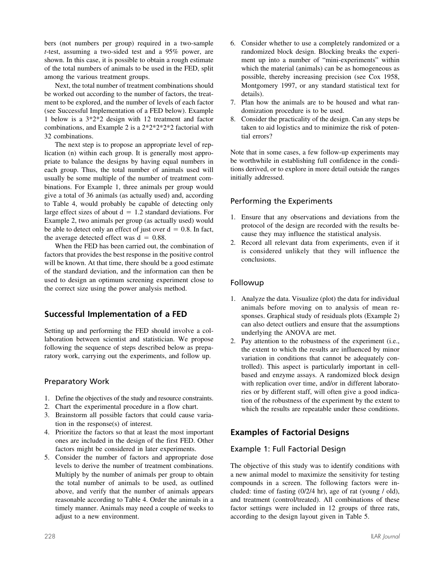bers (not numbers per group) required in a two-sample *t*-test, assuming a two-sided test and a 95% power, are shown. In this case, it is possible to obtain a rough estimate of the total numbers of animals to be used in the FED, split among the various treatment groups.

Next, the total number of treatment combinations should be worked out according to the number of factors, the treatment to be explored, and the number of levels of each factor (see Successful Implementation of a FED below). Example 1 below is a 3\*2\*2 design with 12 treatment and factor combinations, and Example 2 is a 2\*2\*2\*2\*2 factorial with 32 combinations.

The next step is to propose an appropriate level of replication (n) within each group. It is generally most appropriate to balance the designs by having equal numbers in each group. Thus, the total number of animals used will usually be some multiple of the number of treatment combinations. For Example 1, three animals per group would give a total of 36 animals (as actually used) and, according to Table 4, would probably be capable of detecting only large effect sizes of about  $d = 1.2$  standard deviations. For Example 2, two animals per group (as actually used) would be able to detect only an effect of just over  $d = 0.8$ . In fact, the average detected effect was  $d = 0.88$ .

When the FED has been carried out, the combination of factors that provides the best response in the positive control will be known. At that time, there should be a good estimate of the standard deviation, and the information can then be used to design an optimum screening experiment close to the correct size using the power analysis method.

## **Successful Implementation of a FED**

Setting up and performing the FED should involve a collaboration between scientist and statistician. We propose following the sequence of steps described below as preparatory work, carrying out the experiments, and follow up.

## Preparatory Work

- 1. Define the objectives of the study and resource constraints.
- 2. Chart the experimental procedure in a flow chart.
- 3. Brainstorm all possible factors that could cause variation in the response(s) of interest.
- 4. Prioritize the factors so that at least the most important ones are included in the design of the first FED. Other factors might be considered in later experiments.
- 5. Consider the number of factors and appropriate dose levels to derive the number of treatment combinations. Multiply by the number of animals per group to obtain the total number of animals to be used, as outlined above, and verify that the number of animals appears reasonable according to Table 4. Order the animals in a timely manner. Animals may need a couple of weeks to adjust to a new environment.
- 6. Consider whether to use a completely randomized or a randomized block design. Blocking breaks the experiment up into a number of "mini-experiments" within which the material (animals) can be as homogeneous as possible, thereby increasing precision (see Cox 1958, Montgomery 1997, or any standard statistical text for details).
- 7. Plan how the animals are to be housed and what randomization procedure is to be used.
- 8. Consider the practicality of the design. Can any steps be taken to aid logistics and to minimize the risk of potential errors?

Note that in some cases, a few follow-up experiments may be worthwhile in establishing full confidence in the conditions derived, or to explore in more detail outside the ranges initially addressed.

## Performing the Experiments

- 1. Ensure that any observations and deviations from the protocol of the design are recorded with the results because they may influence the statistical analysis.
- 2. Record all relevant data from experiments, even if it is considered unlikely that they will influence the conclusions.

## Followup

- 1. Analyze the data. Visualize (plot) the data for individual animals before moving on to analysis of mean responses. Graphical study of residuals plots (Example 2) can also detect outliers and ensure that the assumptions underlying the ANOVA are met.
- 2. Pay attention to the robustness of the experiment (i.e., the extent to which the results are influenced by minor variation in conditions that cannot be adequately controlled). This aspect is particularly important in cellbased and enzyme assays. A randomized block design with replication over time, and/or in different laboratories or by different staff, will often give a good indication of the robustness of the experiment by the extent to which the results are repeatable under these conditions.

# **Examples of Factorial Designs**

## Example 1: Full Factorial Design

The objective of this study was to identify conditions with a new animal model to maximize the sensitivity for testing compounds in a screen. The following factors were included: time of fasting (0/2/4 hr), age of rat (young / old), and treatment (control/treated). All combinations of these factor settings were included in 12 groups of three rats, according to the design layout given in Table 5.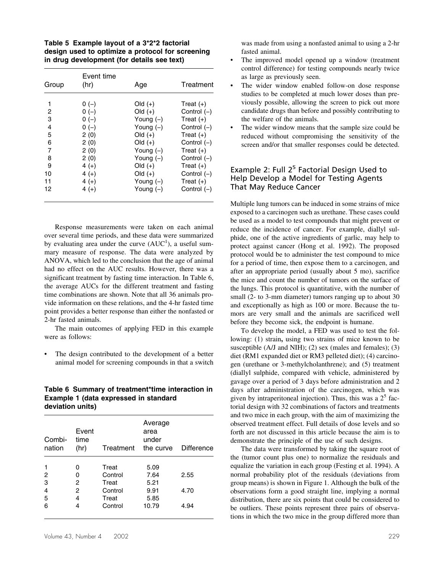**Table 5 Example layout of a 3\*2\*2 factorial design used to optimize a protocol for screening in drug development (for details see text)**

| Group | Event time<br>(hr) | Age         | Treatment     |
|-------|--------------------|-------------|---------------|
| 1     | $0(-)$             | $Old (+)$   | Treat $(+)$   |
| 2     | $0(-)$             | $Old (+)$   | Control $(-)$ |
| 3     | $0(-)$             | Young $(-)$ | Treat $(+)$   |
| 4     | $0(-)$             | Young $(-)$ | Control $(-)$ |
| 5     | 2(0)               | $Old (+)$   | Treat $(+)$   |
| 6     | 2(0)               | $Old (+)$   | Control $(-)$ |
| 7     | 2(0)               | Young $(-)$ | Treat $(+)$   |
| 8     | 2(0)               | Young $(-)$ | Control $(-)$ |
| 9     | $4 (+)$            | $Old (+)$   | Treat $(+)$   |
| 10    | $4 (+)$            | $Old (+)$   | Control $(-)$ |
| 11    | $4 (+)$            | Young $(-)$ | Treat $(+)$   |
| 12    | $4 (+)$            | Young $(-)$ | Control $(-)$ |

Response measurements were taken on each animal over several time periods, and these data were summarized by evaluating area under the curve  $(AUC<sup>1</sup>)$ , a useful summary measure of response. The data were analyzed by ANOVA, which led to the conclusion that the age of animal had no effect on the AUC results. However, there was a significant treatment by fasting time interaction. In Table 6, the average AUCs for the different treatment and fasting time combinations are shown. Note that all 36 animals provide information on these relations, and the 4-hr fasted time point provides a better response than either the nonfasted or 2-hr fasted animals.

The main outcomes of applying FED in this example were as follows:

The design contributed to the development of a better animal model for screening compounds in that a switch

#### **Table 6 Summary of treatment\*time interaction in Example 1 (data expressed in standard deviation units)**

| Combi-<br>nation | Event<br>time<br>(hr) | Treatment | Average<br>area<br>under<br>the curve | <b>Difference</b> |
|------------------|-----------------------|-----------|---------------------------------------|-------------------|
|                  | 0                     | Treat     | 5.09                                  |                   |
| 2                | 0                     | Control   | 7.64                                  | 2.55              |
| 3                | 2                     | Treat     | 5.21                                  |                   |
| 4                | 2                     | Control   | 9.91                                  | 4.70              |
| 5                | 4                     | Treat     | 5.85                                  |                   |
| 6                | 4                     | Control   | 10.79                                 | 4.94              |

was made from using a nonfasted animal to using a 2-hr fasted animal.

- The improved model opened up a window (treatment control difference) for testing compounds nearly twice as large as previously seen.
- The wider window enabled follow-on dose response studies to be completed at much lower doses than previously possible, allowing the screen to pick out more candidate drugs than before and possibly contributing to the welfare of the animals.
- The wider window means that the sample size could be reduced without compromising the sensitivity of the screen and/or that smaller responses could be detected.

#### Example 2: Full  $2^5$  Factorial Design Used to Help Develop a Model for Testing Agents That May Reduce Cancer

Multiple lung tumors can be induced in some strains of mice exposed to a carcinogen such as urethane. These cases could be used as a model to test compounds that might prevent or reduce the incidence of cancer. For example, diallyl sulphide, one of the active ingredients of garlic, may help to protect against cancer (Hong et al. 1992). The proposed protocol would be to administer the test compound to mice for a period of time, then expose them to a carcinogen, and after an appropriate period (usually about 5 mo), sacrifice the mice and count the number of tumors on the surface of the lungs. This protocol is quantitative, with the number of small (2- to 3-mm diameter) tumors ranging up to about 30 and exceptionally as high as 100 or more. Because the tumors are very small and the animals are sacrificed well before they become sick, the endpoint is humane.

To develop the model, a FED was used to test the following: (1) strain**,** using two strains of mice known to be susceptible (A/J and NIH); (2) sex (males and females); (3) diet (RM1 expanded diet or RM3 pelleted diet); (4) carcinogen (urethane or 3-methylcholanthrene); and (5) treatment (diallyl sulphide, compared with vehicle, administered by gavage over a period of 3 days before administration and 2 days after administration of the carcinogen, which was given by intraperitoneal injection). Thus, this was a  $2<sup>5</sup>$  factorial design with 32 combinations of factors and treatments and two mice in each group, with the aim of maximizing the observed treatment effect. Full details of dose levels and so forth are not discussed in this article because the aim is to demonstrate the principle of the use of such designs.

The data were transformed by taking the square root of the (tumor count plus one) to normalize the residuals and equalize the variation in each group (Festing et al. 1994). A normal probability plot of the residuals (deviations from group means) is shown in Figure 1. Although the bulk of the observations form a good straight line, implying a normal distribution, there are six points that could be considered to be outliers. These points represent three pairs of observations in which the two mice in the group differed more than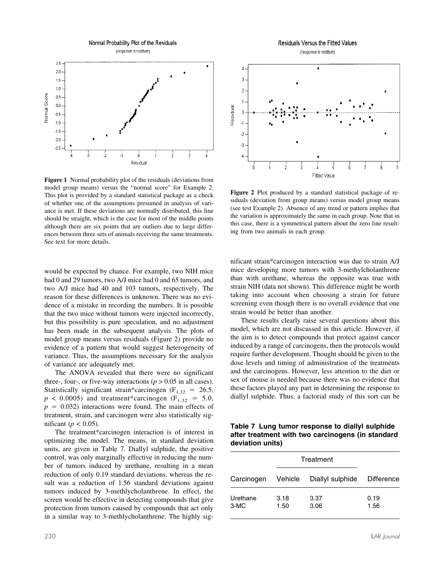Normal Probability Plot of the Residuals

(response is roottum)



**Figure 1** Normal probability plot of the residuals (deviations from model group means) versus the "normal score" for Example 2. This plot is provided by a standard statistical package as a check of whether one of the assumptions presumed in analysis of variance is met. If these deviations are normally distributed, this line should be straight, which is the case for most of the middle points although there are six points that are outliers due to large differences between three sets of animals receiving the same treatments. See text for more details.

would be expected by chance. For example, two NIH mice had 0 and 29 tumors, two A/J mice had 0 and 65 tumors, and two A/J mice had 40 and 103 tumors, respectively. The reason for these differences is unknown. There was no evidence of a mistake in recording the numbers. It is possible that the two mice without tumors were injected incorrectly, but this possibility is pure speculation, and no adjustment has been made in the subsequent analysis. The plots of model group means versus residuals (Figure 2) provide no evidence of a pattern that would suggest heterogeneity of variance. Thus, the assumptions necessary for the analysis of variance are adequately met.

The ANOVA revealed that there were no significant three-, four-, or five-way interactions  $(p > 0.05$  in all cases). Statistically significant strain\*carcinogen ( $F_{1,32}$  = 26.5,  $p < 0.0005$ ) and treatment\*carcinogen ( $F_{1,32} = 5.0$ ,  $p = 0.032$ ) interactions were found. The main effects of treatment, strain, and carcinogen were also statistically significant ( $p < 0.05$ ).

The treatment\*carcinogen interaction is of interest in optimizing the model. The means, in standard deviation units, are given in Table 7. Diallyl sulphide, the positive control, was only marginally effective in reducing the number of tumors induced by urethane, resulting in a mean reduction of only 0.19 standard deviations, whereas the result was a reduction of 1.56 standard deviations against tumors induced by 3-methlycholanthrene. In effect, the screen would be effective in detecting compounds that give protection from tumors caused by compounds that act only in a similar way to 3-methlycholanthrene. The highly sig-



**Figure 2** Plot produced by a standard statistical package of residuals (deviation from group means) versus model group means (see test Example 2). Absence of any trend or pattern implies that the variation is approximately the same in each group. Note that in this case, there is a symmetrical pattern about the zero line resulting from two animals in each group.

nificant strain\*carcinogen interaction was due to strain A/J mice developing more tumors with 3-methylcholanthrene than with urethane, whereas the opposite was true with strain NIH (data not shown). This difference might be worth taking into account when choosing a strain for future screening even though there is no overall evidence that one strain would be better than another.

These results clearly raise several questions about this model, which are not discussed in this article. However, if the aim is to detect compounds that protect against cancer induced by a range of carcinogens, then the protocols would require further development. Thought should be given to the dose levels and timing of administration of the treatments and the carcinogens. However, less attention to the diet or sex of mouse is needed because there was no evidence that these factors played any part in determining the response to diallyl sulphide. Thus, a factorial study of this sort can be

**Table 7 Lung tumor response to diallyl sulphide after treatment with two carcinogens (in standard deviation units)**

| Treatment        |              |                  |                   |  |
|------------------|--------------|------------------|-------------------|--|
| Carcinogen       | Vehicle      | Diallyl sulphide | <b>Difference</b> |  |
| Urethane<br>3-MC | 3.18<br>1.50 | 3.37<br>3.06     | 0.19<br>1.56      |  |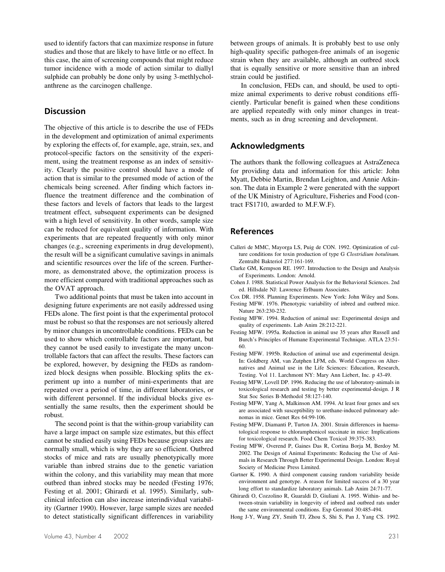used to identify factors that can maximize response in future studies and those that are likely to have little or no effect. In this case, the aim of screening compounds that might reduce tumor incidence with a mode of action similar to diallyl sulphide can probably be done only by using 3-methlycholanthrene as the carcinogen challenge.

## **Discussion**

The objective of this article is to describe the use of FEDs in the development and optimization of animal experiments by exploring the effects of, for example, age, strain, sex, and protocol-specific factors on the sensitivity of the experiment, using the treatment response as an index of sensitivity. Clearly the positive control should have a mode of action that is similar to the presumed mode of action of the chemicals being screened. After finding which factors influence the treatment difference and the combination of these factors and levels of factors that leads to the largest treatment effect, subsequent experiments can be designed with a high level of sensitivity. In other words, sample size can be reduced for equivalent quality of information. With experiments that are repeated frequently with only minor changes (e.g., screening experiments in drug development), the result will be a significant cumulative savings in animals and scientific resources over the life of the screen. Furthermore, as demonstrated above, the optimization process is more efficient compared with traditional approaches such as the OVAT approach.

Two additional points that must be taken into account in designing future experiments are not easily addressed using FEDs alone. The first point is that the experimental protocol must be robust so that the responses are not seriously altered by minor changes in uncontrollable conditions. FEDs can be used to show which controllable factors are important, but they cannot be used easily to investigate the many uncontrollable factors that can affect the results. These factors can be explored, however, by designing the FEDs as randomized block designs when possible. Blocking splits the experiment up into a number of mini-experiments that are repeated over a period of time, in different laboratories, or with different personnel. If the individual blocks give essentially the same results, then the experiment should be robust.

The second point is that the within-group variability can have a large impact on sample size estimates, but this effect cannot be studied easily using FEDs because group sizes are normally small, which is why they are so efficient. Outbred stocks of mice and rats are usually phenotypically more variable than inbred strains due to the genetic variation within the colony, and this variability may mean that more outbred than inbred stocks may be needed (Festing 1976; Festing et al. 2001; Ghirardi et al. 1995). Similarly, subclinical infection can also increase interindividual variability (Gartner 1990). However, large sample sizes are needed to detect statistically significant differences in variability

between groups of animals. It is probably best to use only high-quality specific pathogen-free animals of an isogenic strain when they are available, although an outbred stock that is equally sensitive or more sensitive than an inbred strain could be justified.

In conclusion, FEDs can, and should, be used to optimize animal experiments to derive robust conditions efficiently. Particular benefit is gained when these conditions are applied repeatedly with only minor changes in treatments, such as in drug screening and development.

## **Acknowledgments**

The authors thank the following colleagues at AstraZeneca for providing data and information for this article: John Myatt, Debbie Martin, Brendan Leighton, and Annie Atkinson. The data in Example 2 were generated with the support of the UK Ministry of Agriculture, Fisheries and Food (contract FS1710, awarded to M.F.W.F).

#### **References**

- Calleri de MMC, Mayorga LS, Puig de CON. 1992. Optimization of culture conditions for toxin production of type G *Clostridium botulinum.* Zentralbl Bakteriol 277:161-169.
- Clarke GM, Kempson RE. 1997. Introduction to the Design and Analysis of Experiments. London: Arnold.
- Cohen J. 1988. Statistical Power Analysis for the Behavioral Sciences. 2nd ed. Hillsdale NJ: Lawrence Erlbaum Associates.
- Cox DR. 1958. Planning Experiments. New York: John Wiley and Sons.
- Festing MFW. 1976. Phenotypic variability of inbred and outbred mice. Nature 263:230-232.
- Festing MFW. 1994. Reduction of animal use: Experimental design and quality of experiments. Lab Anim 28:212-221.
- Festing MFW. 1995a. Reduction in animal use 35 years after Russell and Burch's Principles of Humane Experimental Technique. ATLA 23:51- 60.
- Festing MFW. 1995b. Reduction of animal use and experimental design. In: Goldberg AM, van Zutphen LFM, eds. World Congress on Alternatives and Animal use in the Life Sciences: Education, Research, Testing. Vol 11. Larchmont NY: Mary Ann Liebert, Inc. p 43-49.
- Festing MFW, Lovell DP. 1996. Reducing the use of laboratory-animals in toxicological research and testing by better experimental-design. J R Stat Soc Series B-Methodol 58:127-140.
- Festing MFW, Yang A, Malkinson AM. 1994. At least four genes and sex are associated with susceptibility to urethane-induced pulmonary adenomas in mice. Genet Res 64:99-106.
- Festing MFW, Diamanti P, Turton JA. 2001. Strain differences in haematological response to chloramphenicol succinate in mice: Implications for toxicological research. Food Chem Toxicol 39:375-383.
- Festing MFW, Overend P, Gaines Das R, Cortina Borja M, Berdoy M. 2002. The Design of Animal Experiments: Reducing the Use of Animals in Research Through Better Experimental Design. London: Royal Society of Medicine Press Limited.
- Gartner K. 1990. A third component causing random variability beside environment and genotype. A reason for limited success of a 30 year long effort to standardize laboratory animals. Lab Anim 24:71-77.
- Ghirardi O, Cozzolino R, Guaraldi D, Giuliani A. 1995. Within- and between-strain variability in longevity of inbred and outbred rats under the same environmental conditions. Exp Gerontol 30:485-494.
- Hong J-Y, Wang ZY, Smith TJ, Zhou S, Shi S, Pan J, Yang CS. 1992.